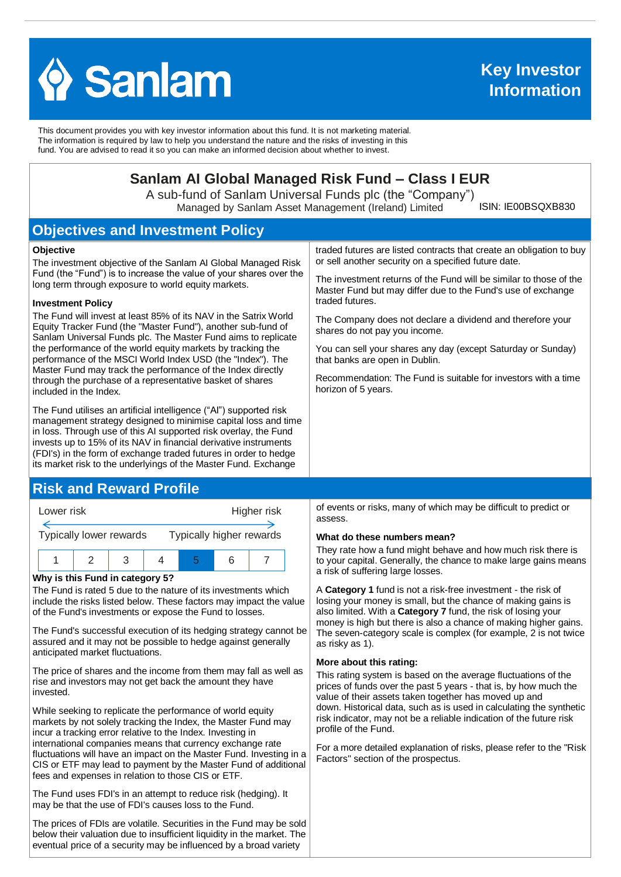

This document provides you with key investor information about this fund. It is not marketing material. The information is required by law to help you understand the nature and the risks of investing in this fund. You are advised to read it so you can make an informed decision about whether to invest.

# **Sanlam AI Global Managed Risk Fund – Class I EUR**

A sub-fund of Sanlam Universal Funds plc (the "Company") Managed by Sanlam Asset Management (Ireland) Limited

ISIN: IE00BSQXB830

# **Objectives and Investment Policy**

#### **Objective**

The investment objective of the Sanlam AI Global Managed Risk Fund (the "Fund") is to increase the value of your shares over the long term through exposure to world equity markets.

#### **Investment Policy**

The Fund will invest at least 85% of its NAV in the Satrix World Equity Tracker Fund (the "Master Fund"), another sub-fund of Sanlam Universal Funds plc. The Master Fund aims to replicate the performance of the world equity markets by tracking the performance of the MSCI World Index USD (the "Index"). The Master Fund may track the performance of the Index directly through the purchase of a representative basket of shares included in the Index.

The Fund utilises an artificial intelligence ("AI") supported risk management strategy designed to minimise capital loss and time in loss. Through use of this AI supported risk overlay, the Fund invests up to 15% of its NAV in financial derivative instruments (FDI's) in the form of exchange traded futures in order to hedge its market risk to the underlyings of the Master Fund. Exchange

## **Risk and Reward Profile**



#### **Why is this Fund in category 5?**

The Fund is rated 5 due to the nature of its investments which include the risks listed below. These factors may impact the value of the Fund's investments or expose the Fund to losses.

The Fund's successful execution of its hedging strategy cannot be assured and it may not be possible to hedge against generally anticipated market fluctuations.

The price of shares and the income from them may fall as well as rise and investors may not get back the amount they have invested.

While seeking to replicate the performance of world equity markets by not solely tracking the Index, the Master Fund may incur a tracking error relative to the Index. Investing in international companies means that currency exchange rate fluctuations will have an impact on the Master Fund. Investing in a CIS or ETF may lead to payment by the Master Fund of additional fees and expenses in relation to those CIS or ETF.

The Fund uses FDI's in an attempt to reduce risk (hedging). It may be that the use of FDI's causes loss to the Fund.

The prices of FDIs are volatile. Securities in the Fund may be sold below their valuation due to insufficient liquidity in the market. The eventual price of a security may be influenced by a broad variety

traded futures are listed contracts that create an obligation to buy or sell another security on a specified future date.

The investment returns of the Fund will be similar to those of the Master Fund but may differ due to the Fund's use of exchange traded futures.

The Company does not declare a dividend and therefore your shares do not pay you income.

You can sell your shares any day (except Saturday or Sunday) that banks are open in Dublin.

Recommendation: The Fund is suitable for investors with a time horizon of 5 years.

of events or risks, many of which may be difficult to predict or assess.

#### **What do these numbers mean?**

They rate how a fund might behave and how much risk there is to your capital. Generally, the chance to make large gains means a risk of suffering large losses.

A **Category 1** fund is not a risk-free investment - the risk of losing your money is small, but the chance of making gains is also limited. With a **Category 7** fund, the risk of losing your money is high but there is also a chance of making higher gains. The seven-category scale is complex (for example, 2 is not twice as risky as 1).

#### **More about this rating:**

This rating system is based on the average fluctuations of the prices of funds over the past 5 years - that is, by how much the value of their assets taken together has moved up and down. Historical data, such as is used in calculating the synthetic risk indicator, may not be a reliable indication of the future risk profile of the Fund.

For a more detailed explanation of risks, please refer to the ''Risk Factors'' section of the prospectus.